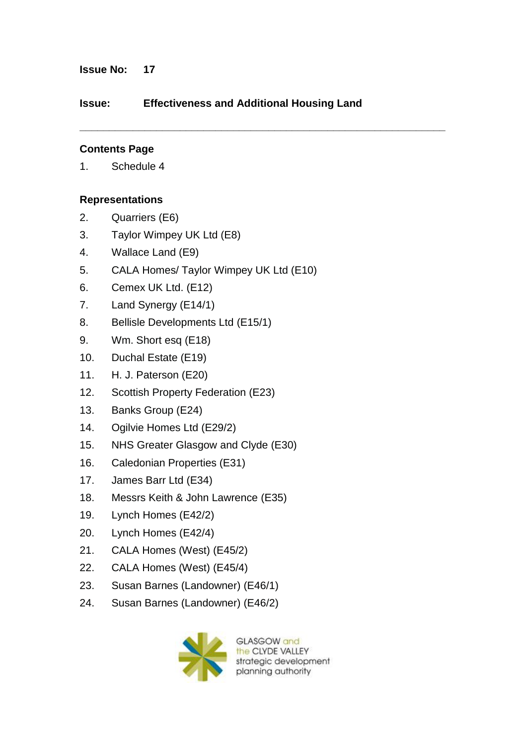# **Issue No: 17**

# **Issue: Effectiveness and Additional Housing Land**

**\_\_\_\_\_\_\_\_\_\_\_\_\_\_\_\_\_\_\_\_\_\_\_\_\_\_\_\_\_\_\_\_\_\_\_\_\_\_\_\_\_\_\_\_\_\_\_\_\_\_\_\_\_\_\_\_\_\_\_\_\_\_**

# **Contents Page**

1. Schedule 4

### **Representations**

- 2. Quarriers (E6)
- 3. Taylor Wimpey UK Ltd (E8)
- 4. Wallace Land (E9)
- 5. CALA Homes/ Taylor Wimpey UK Ltd (E10)
- 6. Cemex UK Ltd. (E12)
- 7. Land Synergy (E14/1)
- 8. Bellisle Developments Ltd (E15/1)
- 9. Wm. Short esq (E18)
- 10. Duchal Estate (E19)
- 11. H. J. Paterson (E20)
- 12. Scottish Property Federation (E23)
- 13. Banks Group (E24)
- 14. Ogilvie Homes Ltd (E29/2)
- 15. NHS Greater Glasgow and Clyde (E30)
- 16. Caledonian Properties (E31)
- 17. James Barr Ltd (E34)
- 18. Messrs Keith & John Lawrence (E35)
- 19. Lynch Homes (E42/2)
- 20. Lynch Homes (E42/4)
- 21. CALA Homes (West) (E45/2)
- 22. CALA Homes (West) (E45/4)
- 23. Susan Barnes (Landowner) (E46/1)
- 24. Susan Barnes (Landowner) (E46/2)



**GLASGOW** and the CLYDE VALLEY strategic development planning authority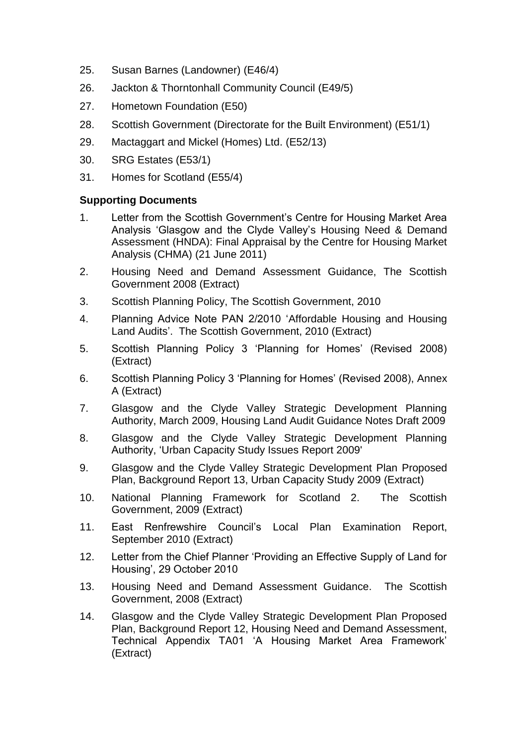- 25. Susan Barnes (Landowner) (E46/4)
- 26. Jackton & Thorntonhall Community Council (E49/5)
- 27. Hometown Foundation (E50)
- 28. Scottish Government (Directorate for the Built Environment) (E51/1)
- 29. Mactaggart and Mickel (Homes) Ltd. (E52/13)
- 30. SRG Estates (E53/1)
- 31. Homes for Scotland (E55/4)

### **Supporting Documents**

- 1. Letter from the Scottish Government"s Centre for Housing Market Area Analysis "Glasgow and the Clyde Valley"s Housing Need & Demand Assessment (HNDA): Final Appraisal by the Centre for Housing Market Analysis (CHMA) (21 June 2011)
- 2. Housing Need and Demand Assessment Guidance, The Scottish Government 2008 (Extract)
- 3. Scottish Planning Policy, The Scottish Government, 2010
- 4. Planning Advice Note PAN 2/2010 "Affordable Housing and Housing Land Audits'. The Scottish Government, 2010 (Extract)
- 5. Scottish Planning Policy 3 "Planning for Homes" (Revised 2008) (Extract)
- 6. Scottish Planning Policy 3 "Planning for Homes" (Revised 2008), Annex A (Extract)
- 7. Glasgow and the Clyde Valley Strategic Development Planning Authority, March 2009, Housing Land Audit Guidance Notes Draft 2009
- 8. Glasgow and the Clyde Valley Strategic Development Planning Authority, "Urban Capacity Study Issues Report 2009'
- 9. Glasgow and the Clyde Valley Strategic Development Plan Proposed Plan, Background Report 13, Urban Capacity Study 2009 (Extract)
- 10. National Planning Framework for Scotland 2. The Scottish Government, 2009 (Extract)
- 11. East Renfrewshire Council"s Local Plan Examination Report, September 2010 (Extract)
- 12. Letter from the Chief Planner "Providing an Effective Supply of Land for Housing", 29 October 2010
- 13. Housing Need and Demand Assessment Guidance. The Scottish Government, 2008 (Extract)
- 14. Glasgow and the Clyde Valley Strategic Development Plan Proposed Plan, Background Report 12, Housing Need and Demand Assessment, Technical Appendix TA01 "A Housing Market Area Framework" (Extract)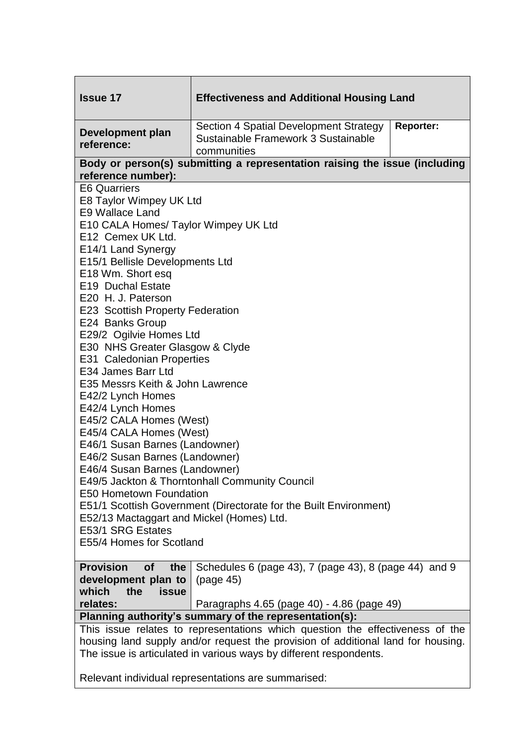| <b>Issue 17</b>                                                                                                                                                   | <b>Effectiveness and Additional Housing Land</b>                                                                 |  |  |  |  |  |  |
|-------------------------------------------------------------------------------------------------------------------------------------------------------------------|------------------------------------------------------------------------------------------------------------------|--|--|--|--|--|--|
| <b>Development plan</b><br>reference:                                                                                                                             | <b>Reporter:</b><br>Section 4 Spatial Development Strategy<br>Sustainable Framework 3 Sustainable<br>communities |  |  |  |  |  |  |
| Body or person(s) submitting a representation raising the issue (including                                                                                        |                                                                                                                  |  |  |  |  |  |  |
| reference number):<br><b>E6 Quarriers</b>                                                                                                                         |                                                                                                                  |  |  |  |  |  |  |
| E8 Taylor Wimpey UK Ltd<br><b>E9 Wallace Land</b>                                                                                                                 |                                                                                                                  |  |  |  |  |  |  |
| E10 CALA Homes/ Taylor Wimpey UK Ltd<br>E12 Cemex UK Ltd.                                                                                                         |                                                                                                                  |  |  |  |  |  |  |
| E14/1 Land Synergy                                                                                                                                                |                                                                                                                  |  |  |  |  |  |  |
| E15/1 Bellisle Developments Ltd<br>E18 Wm. Short esq                                                                                                              |                                                                                                                  |  |  |  |  |  |  |
| E19 Duchal Estate                                                                                                                                                 |                                                                                                                  |  |  |  |  |  |  |
| E20 H. J. Paterson                                                                                                                                                |                                                                                                                  |  |  |  |  |  |  |
| <b>E23 Scottish Property Federation</b>                                                                                                                           |                                                                                                                  |  |  |  |  |  |  |
|                                                                                                                                                                   | E24 Banks Group                                                                                                  |  |  |  |  |  |  |
| E29/2 Ogilvie Homes Ltd<br>E30 NHS Greater Glasgow & Clyde                                                                                                        |                                                                                                                  |  |  |  |  |  |  |
| E31 Caledonian Properties                                                                                                                                         |                                                                                                                  |  |  |  |  |  |  |
| E34 James Barr Ltd                                                                                                                                                |                                                                                                                  |  |  |  |  |  |  |
| E35 Messrs Keith & John Lawrence                                                                                                                                  |                                                                                                                  |  |  |  |  |  |  |
| E42/2 Lynch Homes                                                                                                                                                 |                                                                                                                  |  |  |  |  |  |  |
| E42/4 Lynch Homes                                                                                                                                                 |                                                                                                                  |  |  |  |  |  |  |
| E45/2 CALA Homes (West)                                                                                                                                           |                                                                                                                  |  |  |  |  |  |  |
| E45/4 CALA Homes (West)                                                                                                                                           |                                                                                                                  |  |  |  |  |  |  |
| E46/1 Susan Barnes (Landowner)                                                                                                                                    |                                                                                                                  |  |  |  |  |  |  |
| E46/2 Susan Barnes (Landowner)<br>E46/4 Susan Barnes (Landowner)                                                                                                  |                                                                                                                  |  |  |  |  |  |  |
| E49/5 Jackton & Thorntonhall Community Council                                                                                                                    |                                                                                                                  |  |  |  |  |  |  |
| E50 Hometown Foundation                                                                                                                                           |                                                                                                                  |  |  |  |  |  |  |
| E51/1 Scottish Government (Directorate for the Built Environment)                                                                                                 |                                                                                                                  |  |  |  |  |  |  |
| E52/13 Mactaggart and Mickel (Homes) Ltd.                                                                                                                         |                                                                                                                  |  |  |  |  |  |  |
| E53/1 SRG Estates                                                                                                                                                 |                                                                                                                  |  |  |  |  |  |  |
| E55/4 Homes for Scotland                                                                                                                                          |                                                                                                                  |  |  |  |  |  |  |
| <b>Provision</b><br><b>of</b><br>the                                                                                                                              | Schedules 6 (page 43), 7 (page 43), 8 (page 44) and 9                                                            |  |  |  |  |  |  |
| development plan to                                                                                                                                               | (page 45)                                                                                                        |  |  |  |  |  |  |
| which<br>the<br><b>issue</b>                                                                                                                                      |                                                                                                                  |  |  |  |  |  |  |
| relates:                                                                                                                                                          | Paragraphs 4.65 (page 40) - 4.86 (page 49)                                                                       |  |  |  |  |  |  |
| Planning authority's summary of the representation(s):                                                                                                            |                                                                                                                  |  |  |  |  |  |  |
| This issue relates to representations which question the effectiveness of the<br>housing land supply and/or request the provision of additional land for housing. |                                                                                                                  |  |  |  |  |  |  |
| The issue is articulated in various ways by different respondents.                                                                                                |                                                                                                                  |  |  |  |  |  |  |
|                                                                                                                                                                   |                                                                                                                  |  |  |  |  |  |  |
| Relevant individual representations are summarised:                                                                                                               |                                                                                                                  |  |  |  |  |  |  |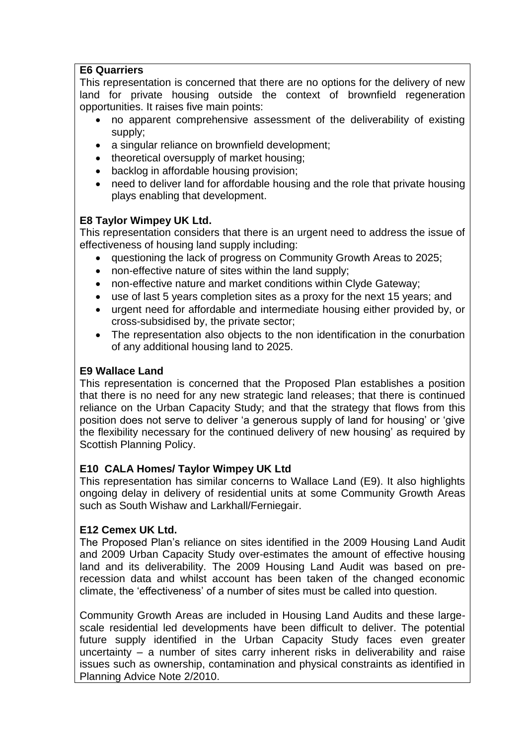### **E6 Quarriers**

This representation is concerned that there are no options for the delivery of new land for private housing outside the context of brownfield regeneration opportunities. It raises five main points:

- no apparent comprehensive assessment of the deliverability of existing supply;
- a singular reliance on brownfield development;
- theoretical oversupply of market housing;
- backlog in affordable housing provision;
- need to deliver land for affordable housing and the role that private housing plays enabling that development.

### **E8 Taylor Wimpey UK Ltd.**

This representation considers that there is an urgent need to address the issue of effectiveness of housing land supply including:

- questioning the lack of progress on Community Growth Areas to 2025;
- non-effective nature of sites within the land supply;
- non-effective nature and market conditions within Clyde Gateway;
- use of last 5 years completion sites as a proxy for the next 15 years; and
- urgent need for affordable and intermediate housing either provided by, or cross-subsidised by, the private sector;
- The representation also objects to the non identification in the conurbation of any additional housing land to 2025.

### **E9 Wallace Land**

This representation is concerned that the Proposed Plan establishes a position that there is no need for any new strategic land releases; that there is continued reliance on the Urban Capacity Study; and that the strategy that flows from this position does not serve to deliver "a generous supply of land for housing" or "give the flexibility necessary for the continued delivery of new housing" as required by Scottish Planning Policy.

# **E10 CALA Homes/ Taylor Wimpey UK Ltd**

This representation has similar concerns to Wallace Land (E9). It also highlights ongoing delay in delivery of residential units at some Community Growth Areas such as South Wishaw and Larkhall/Ferniegair.

### **E12 Cemex UK Ltd.**

The Proposed Plan"s reliance on sites identified in the 2009 Housing Land Audit and 2009 Urban Capacity Study over-estimates the amount of effective housing land and its deliverability. The 2009 Housing Land Audit was based on prerecession data and whilst account has been taken of the changed economic climate, the "effectiveness" of a number of sites must be called into question.

Community Growth Areas are included in Housing Land Audits and these largescale residential led developments have been difficult to deliver. The potential future supply identified in the Urban Capacity Study faces even greater uncertainty – a number of sites carry inherent risks in deliverability and raise issues such as ownership, contamination and physical constraints as identified in Planning Advice Note 2/2010.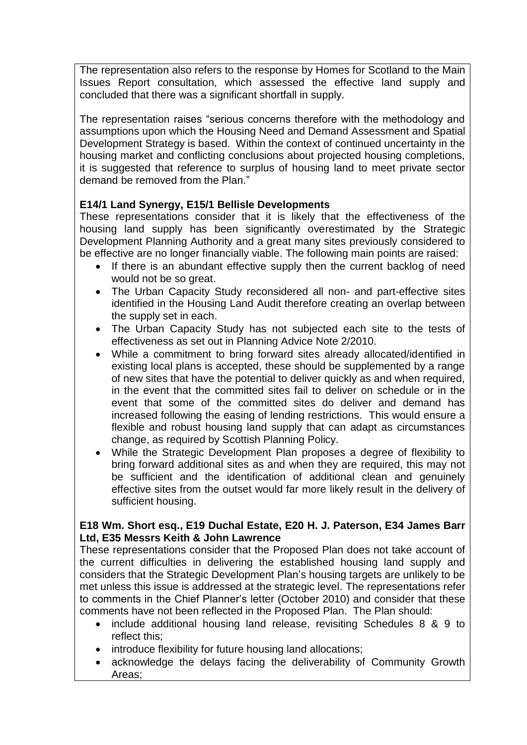The representation also refers to the response by Homes for Scotland to the Main Issues Report consultation, which assessed the effective land supply and concluded that there was a significant shortfall in supply.

The representation raises "serious concerns therefore with the methodology and assumptions upon which the Housing Need and Demand Assessment and Spatial Development Strategy is based. Within the context of continued uncertainty in the housing market and conflicting conclusions about projected housing completions, it is suggested that reference to surplus of housing land to meet private sector demand be removed from the Plan."

# **E14/1 Land Synergy, E15/1 Bellisle Developments**

These representations consider that it is likely that the effectiveness of the housing land supply has been significantly overestimated by the Strategic Development Planning Authority and a great many sites previously considered to be effective are no longer financially viable. The following main points are raised:

- If there is an abundant effective supply then the current backlog of need would not be so great.
- The Urban Capacity Study reconsidered all non- and part-effective sites identified in the Housing Land Audit therefore creating an overlap between the supply set in each.
- The Urban Capacity Study has not subjected each site to the tests of effectiveness as set out in Planning Advice Note 2/2010.
- While a commitment to bring forward sites already allocated/identified in existing local plans is accepted, these should be supplemented by a range of new sites that have the potential to deliver quickly as and when required, in the event that the committed sites fail to deliver on schedule or in the event that some of the committed sites do deliver and demand has increased following the easing of lending restrictions. This would ensure a flexible and robust housing land supply that can adapt as circumstances change, as required by Scottish Planning Policy.
- While the Strategic Development Plan proposes a degree of flexibility to bring forward additional sites as and when they are required, this may not be sufficient and the identification of additional clean and genuinely effective sites from the outset would far more likely result in the delivery of sufficient housing.

### **E18 Wm. Short esq., E19 Duchal Estate, E20 H. J. Paterson, E34 James Barr Ltd, E35 Messrs Keith & John Lawrence**

These representations consider that the Proposed Plan does not take account of the current difficulties in delivering the established housing land supply and considers that the Strategic Development Plan"s housing targets are unlikely to be met unless this issue is addressed at the strategic level. The representations refer to comments in the Chief Planner"s letter (October 2010) and consider that these comments have not been reflected in the Proposed Plan. The Plan should:

- include additional housing land release, revisiting Schedules 8 & 9 to reflect this;
- introduce flexibility for future housing land allocations;
- acknowledge the delays facing the deliverability of Community Growth Areas;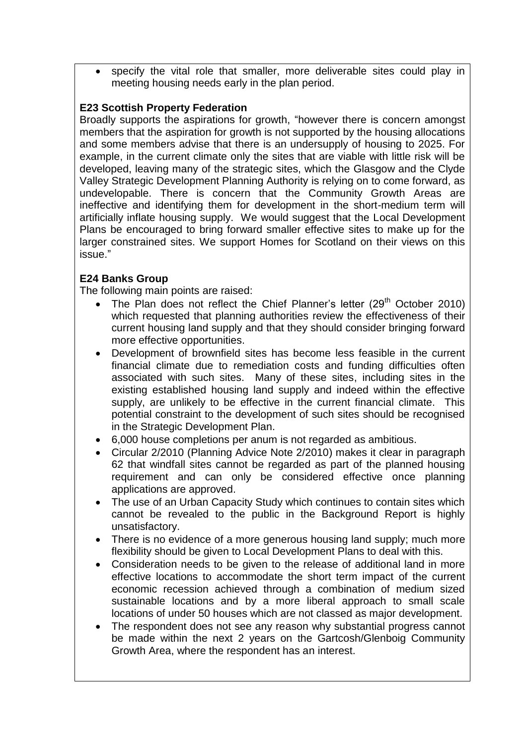specify the vital role that smaller, more deliverable sites could play in meeting housing needs early in the plan period.

# **E23 Scottish Property Federation**

Broadly supports the aspirations for growth, "however there is concern amongst members that the aspiration for growth is not supported by the housing allocations and some members advise that there is an undersupply of housing to 2025. For example, in the current climate only the sites that are viable with little risk will be developed, leaving many of the strategic sites, which the Glasgow and the Clyde Valley Strategic Development Planning Authority is relying on to come forward, as undevelopable. There is concern that the Community Growth Areas are ineffective and identifying them for development in the short-medium term will artificially inflate housing supply. We would suggest that the Local Development Plans be encouraged to bring forward smaller effective sites to make up for the larger constrained sites. We support Homes for Scotland on their views on this issue."

# **E24 Banks Group**

The following main points are raised:

- The Plan does not reflect the Chief Planner's letter  $(29<sup>th</sup>$  October 2010) which requested that planning authorities review the effectiveness of their current housing land supply and that they should consider bringing forward more effective opportunities.
- Development of brownfield sites has become less feasible in the current financial climate due to remediation costs and funding difficulties often associated with such sites. Many of these sites, including sites in the existing established housing land supply and indeed within the effective supply, are unlikely to be effective in the current financial climate. This potential constraint to the development of such sites should be recognised in the Strategic Development Plan.
- 6,000 house completions per anum is not regarded as ambitious.
- Circular 2/2010 (Planning Advice Note 2/2010) makes it clear in paragraph 62 that windfall sites cannot be regarded as part of the planned housing requirement and can only be considered effective once planning applications are approved.
- The use of an Urban Capacity Study which continues to contain sites which cannot be revealed to the public in the Background Report is highly unsatisfactory.
- There is no evidence of a more generous housing land supply; much more flexibility should be given to Local Development Plans to deal with this.
- Consideration needs to be given to the release of additional land in more effective locations to accommodate the short term impact of the current economic recession achieved through a combination of medium sized sustainable locations and by a more liberal approach to small scale locations of under 50 houses which are not classed as major development.
- The respondent does not see any reason why substantial progress cannot be made within the next 2 years on the Gartcosh/Glenboig Community Growth Area, where the respondent has an interest.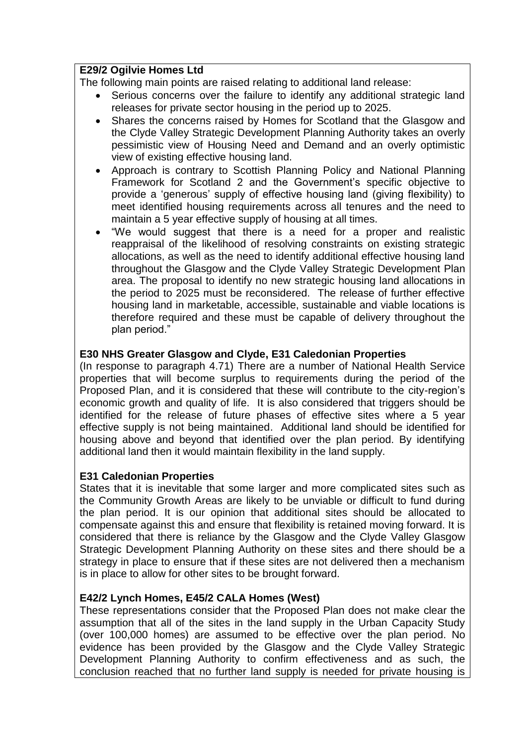### **E29/2 Ogilvie Homes Ltd**

The following main points are raised relating to additional land release:

- Serious concerns over the failure to identify any additional strategic land releases for private sector housing in the period up to 2025.
- Shares the concerns raised by Homes for Scotland that the Glasgow and the Clyde Valley Strategic Development Planning Authority takes an overly pessimistic view of Housing Need and Demand and an overly optimistic view of existing effective housing land.
- Approach is contrary to Scottish Planning Policy and National Planning Framework for Scotland 2 and the Government's specific objective to provide a "generous" supply of effective housing land (giving flexibility) to meet identified housing requirements across all tenures and the need to maintain a 5 year effective supply of housing at all times.
- "We would suggest that there is a need for a proper and realistic reappraisal of the likelihood of resolving constraints on existing strategic allocations, as well as the need to identify additional effective housing land throughout the Glasgow and the Clyde Valley Strategic Development Plan area. The proposal to identify no new strategic housing land allocations in the period to 2025 must be reconsidered. The release of further effective housing land in marketable, accessible, sustainable and viable locations is therefore required and these must be capable of delivery throughout the plan period."

### **E30 NHS Greater Glasgow and Clyde, E31 Caledonian Properties**

(In response to paragraph 4.71) There are a number of National Health Service properties that will become surplus to requirements during the period of the Proposed Plan, and it is considered that these will contribute to the city-region"s economic growth and quality of life. It is also considered that triggers should be identified for the release of future phases of effective sites where a 5 year effective supply is not being maintained. Additional land should be identified for housing above and beyond that identified over the plan period. By identifying additional land then it would maintain flexibility in the land supply.

# **E31 Caledonian Properties**

States that it is inevitable that some larger and more complicated sites such as the Community Growth Areas are likely to be unviable or difficult to fund during the plan period. It is our opinion that additional sites should be allocated to compensate against this and ensure that flexibility is retained moving forward. It is considered that there is reliance by the Glasgow and the Clyde Valley Glasgow Strategic Development Planning Authority on these sites and there should be a strategy in place to ensure that if these sites are not delivered then a mechanism is in place to allow for other sites to be brought forward.

# **E42/2 Lynch Homes, E45/2 CALA Homes (West)**

These representations consider that the Proposed Plan does not make clear the assumption that all of the sites in the land supply in the Urban Capacity Study (over 100,000 homes) are assumed to be effective over the plan period. No evidence has been provided by the Glasgow and the Clyde Valley Strategic Development Planning Authority to confirm effectiveness and as such, the conclusion reached that no further land supply is needed for private housing is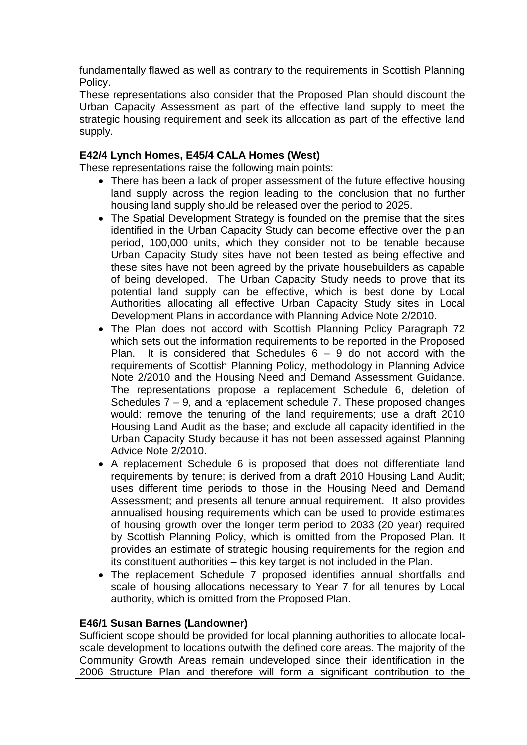fundamentally flawed as well as contrary to the requirements in Scottish Planning Policy.

These representations also consider that the Proposed Plan should discount the Urban Capacity Assessment as part of the effective land supply to meet the strategic housing requirement and seek its allocation as part of the effective land supply.

### **E42/4 Lynch Homes, E45/4 CALA Homes (West)**

These representations raise the following main points:

- There has been a lack of proper assessment of the future effective housing land supply across the region leading to the conclusion that no further housing land supply should be released over the period to 2025.
- The Spatial Development Strategy is founded on the premise that the sites identified in the Urban Capacity Study can become effective over the plan period, 100,000 units, which they consider not to be tenable because Urban Capacity Study sites have not been tested as being effective and these sites have not been agreed by the private housebuilders as capable of being developed. The Urban Capacity Study needs to prove that its potential land supply can be effective, which is best done by Local Authorities allocating all effective Urban Capacity Study sites in Local Development Plans in accordance with Planning Advice Note 2/2010.
- The Plan does not accord with Scottish Planning Policy Paragraph 72 which sets out the information requirements to be reported in the Proposed Plan. It is considered that Schedules  $6 - 9$  do not accord with the requirements of Scottish Planning Policy, methodology in Planning Advice Note 2/2010 and the Housing Need and Demand Assessment Guidance. The representations propose a replacement Schedule 6, deletion of Schedules 7 – 9, and a replacement schedule 7. These proposed changes would: remove the tenuring of the land requirements; use a draft 2010 Housing Land Audit as the base; and exclude all capacity identified in the Urban Capacity Study because it has not been assessed against Planning Advice Note 2/2010.
- A replacement Schedule 6 is proposed that does not differentiate land requirements by tenure; is derived from a draft 2010 Housing Land Audit; uses different time periods to those in the Housing Need and Demand Assessment; and presents all tenure annual requirement. It also provides annualised housing requirements which can be used to provide estimates of housing growth over the longer term period to 2033 (20 year) required by Scottish Planning Policy, which is omitted from the Proposed Plan. It provides an estimate of strategic housing requirements for the region and its constituent authorities – this key target is not included in the Plan.
- The replacement Schedule 7 proposed identifies annual shortfalls and scale of housing allocations necessary to Year 7 for all tenures by Local authority, which is omitted from the Proposed Plan.

### **E46/1 Susan Barnes (Landowner)**

Sufficient scope should be provided for local planning authorities to allocate localscale development to locations outwith the defined core areas. The majority of the Community Growth Areas remain undeveloped since their identification in the 2006 Structure Plan and therefore will form a significant contribution to the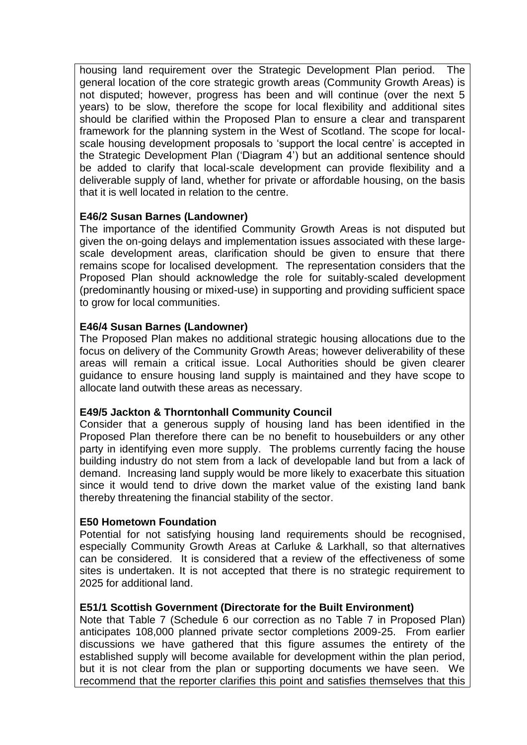housing land requirement over the Strategic Development Plan period. The general location of the core strategic growth areas (Community Growth Areas) is not disputed; however, progress has been and will continue (over the next 5 years) to be slow, therefore the scope for local flexibility and additional sites should be clarified within the Proposed Plan to ensure a clear and transparent framework for the planning system in the West of Scotland. The scope for localscale housing development proposals to 'support the local centre' is accepted in the Strategic Development Plan ("Diagram 4") but an additional sentence should be added to clarify that local-scale development can provide flexibility and a deliverable supply of land, whether for private or affordable housing, on the basis that it is well located in relation to the centre.

### **E46/2 Susan Barnes (Landowner)**

The importance of the identified Community Growth Areas is not disputed but given the on-going delays and implementation issues associated with these largescale development areas, clarification should be given to ensure that there remains scope for localised development. The representation considers that the Proposed Plan should acknowledge the role for suitably-scaled development (predominantly housing or mixed-use) in supporting and providing sufficient space to grow for local communities.

### **E46/4 Susan Barnes (Landowner)**

The Proposed Plan makes no additional strategic housing allocations due to the focus on delivery of the Community Growth Areas; however deliverability of these areas will remain a critical issue. Local Authorities should be given clearer guidance to ensure housing land supply is maintained and they have scope to allocate land outwith these areas as necessary.

### **E49/5 Jackton & Thorntonhall Community Council**

Consider that a generous supply of housing land has been identified in the Proposed Plan therefore there can be no benefit to housebuilders or any other party in identifying even more supply. The problems currently facing the house building industry do not stem from a lack of developable land but from a lack of demand. Increasing land supply would be more likely to exacerbate this situation since it would tend to drive down the market value of the existing land bank thereby threatening the financial stability of the sector.

### **E50 Hometown Foundation**

Potential for not satisfying housing land requirements should be recognised, especially Community Growth Areas at Carluke & Larkhall, so that alternatives can be considered. It is considered that a review of the effectiveness of some sites is undertaken. It is not accepted that there is no strategic requirement to 2025 for additional land.

# **E51/1 Scottish Government (Directorate for the Built Environment)**

Note that Table 7 (Schedule 6 our correction as no Table 7 in Proposed Plan) anticipates 108,000 planned private sector completions 2009-25. From earlier discussions we have gathered that this figure assumes the entirety of the established supply will become available for development within the plan period, but it is not clear from the plan or supporting documents we have seen. We recommend that the reporter clarifies this point and satisfies themselves that this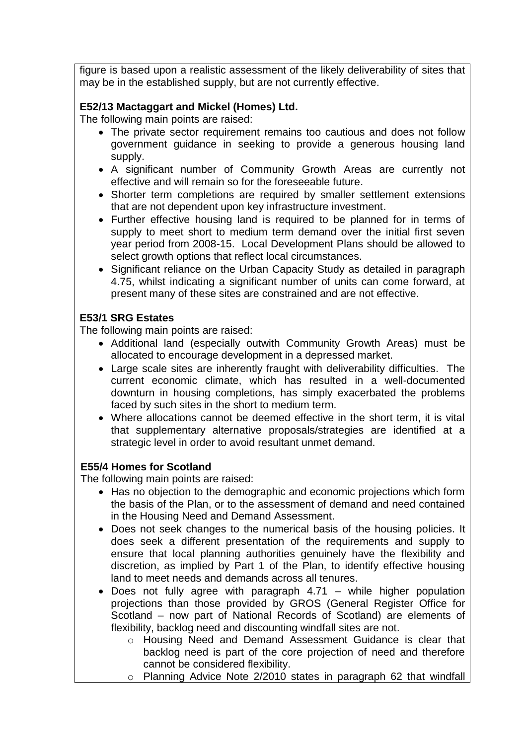figure is based upon a realistic assessment of the likely deliverability of sites that may be in the established supply, but are not currently effective.

# **E52/13 Mactaggart and Mickel (Homes) Ltd.**

The following main points are raised:

- The private sector requirement remains too cautious and does not follow government guidance in seeking to provide a generous housing land supply.
- A significant number of Community Growth Areas are currently not effective and will remain so for the foreseeable future.
- Shorter term completions are required by smaller settlement extensions that are not dependent upon key infrastructure investment.
- Further effective housing land is required to be planned for in terms of supply to meet short to medium term demand over the initial first seven year period from 2008-15. Local Development Plans should be allowed to select growth options that reflect local circumstances.
- Significant reliance on the Urban Capacity Study as detailed in paragraph 4.75, whilst indicating a significant number of units can come forward, at present many of these sites are constrained and are not effective.

# **E53/1 SRG Estates**

The following main points are raised:

- Additional land (especially outwith Community Growth Areas) must be allocated to encourage development in a depressed market.
- Large scale sites are inherently fraught with deliverability difficulties. The current economic climate, which has resulted in a well-documented downturn in housing completions, has simply exacerbated the problems faced by such sites in the short to medium term.
- Where allocations cannot be deemed effective in the short term, it is vital that supplementary alternative proposals/strategies are identified at a strategic level in order to avoid resultant unmet demand.

# **E55/4 Homes for Scotland**

The following main points are raised:

- Has no objection to the demographic and economic projections which form the basis of the Plan, or to the assessment of demand and need contained in the Housing Need and Demand Assessment.
- Does not seek changes to the numerical basis of the housing policies. It does seek a different presentation of the requirements and supply to ensure that local planning authorities genuinely have the flexibility and discretion, as implied by Part 1 of the Plan, to identify effective housing land to meet needs and demands across all tenures.
- Does not fully agree with paragraph 4.71 while higher population projections than those provided by GROS (General Register Office for Scotland – now part of National Records of Scotland) are elements of flexibility, backlog need and discounting windfall sites are not.
	- o Housing Need and Demand Assessment Guidance is clear that backlog need is part of the core projection of need and therefore cannot be considered flexibility.
	- o Planning Advice Note 2/2010 states in paragraph 62 that windfall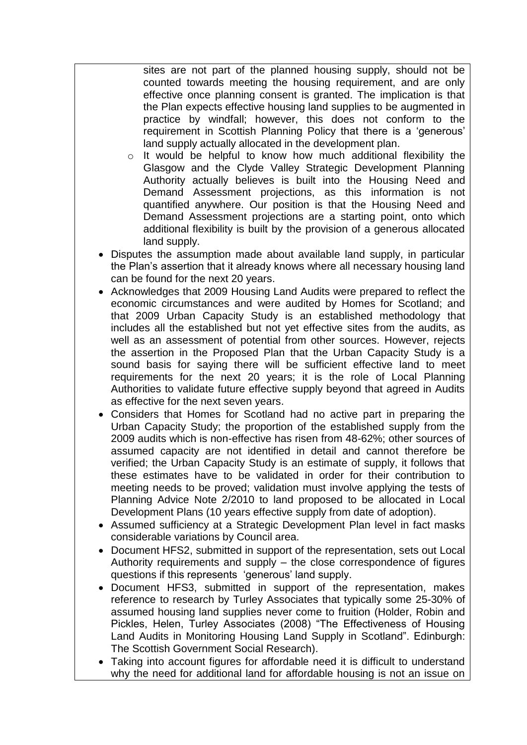sites are not part of the planned housing supply, should not be counted towards meeting the housing requirement, and are only effective once planning consent is granted. The implication is that the Plan expects effective housing land supplies to be augmented in practice by windfall; however, this does not conform to the requirement in Scottish Planning Policy that there is a 'generous' land supply actually allocated in the development plan.

- o It would be helpful to know how much additional flexibility the Glasgow and the Clyde Valley Strategic Development Planning Authority actually believes is built into the Housing Need and Demand Assessment projections, as this information is not quantified anywhere. Our position is that the Housing Need and Demand Assessment projections are a starting point, onto which additional flexibility is built by the provision of a generous allocated land supply.
- Disputes the assumption made about available land supply, in particular the Plan"s assertion that it already knows where all necessary housing land can be found for the next 20 years.
- Acknowledges that 2009 Housing Land Audits were prepared to reflect the economic circumstances and were audited by Homes for Scotland; and that 2009 Urban Capacity Study is an established methodology that includes all the established but not yet effective sites from the audits, as well as an assessment of potential from other sources. However, rejects the assertion in the Proposed Plan that the Urban Capacity Study is a sound basis for saying there will be sufficient effective land to meet requirements for the next 20 years; it is the role of Local Planning Authorities to validate future effective supply beyond that agreed in Audits as effective for the next seven years.
- Considers that Homes for Scotland had no active part in preparing the Urban Capacity Study; the proportion of the established supply from the 2009 audits which is non-effective has risen from 48-62%; other sources of assumed capacity are not identified in detail and cannot therefore be verified; the Urban Capacity Study is an estimate of supply, it follows that these estimates have to be validated in order for their contribution to meeting needs to be proved; validation must involve applying the tests of Planning Advice Note 2/2010 to land proposed to be allocated in Local Development Plans (10 years effective supply from date of adoption).
- Assumed sufficiency at a Strategic Development Plan level in fact masks considerable variations by Council area.
- Document HFS2, submitted in support of the representation, sets out Local Authority requirements and supply – the close correspondence of figures questions if this represents "generous" land supply.
- Document HFS3, submitted in support of the representation, makes reference to research by Turley Associates that typically some 25-30% of assumed housing land supplies never come to fruition (Holder, Robin and Pickles, Helen, Turley Associates (2008) "The Effectiveness of Housing Land Audits in Monitoring Housing Land Supply in Scotland". Edinburgh: The Scottish Government Social Research).
- Taking into account figures for affordable need it is difficult to understand why the need for additional land for affordable housing is not an issue on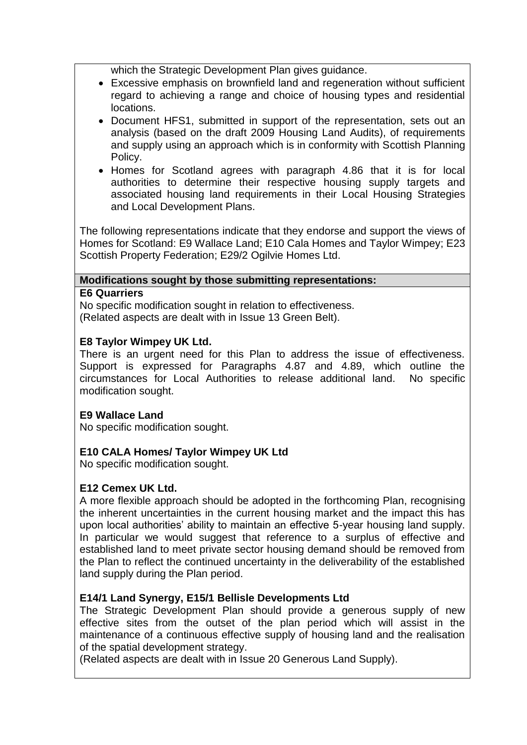which the Strategic Development Plan gives guidance.

- Excessive emphasis on brownfield land and regeneration without sufficient regard to achieving a range and choice of housing types and residential locations.
- Document HFS1, submitted in support of the representation, sets out an analysis (based on the draft 2009 Housing Land Audits), of requirements and supply using an approach which is in conformity with Scottish Planning Policy.
- Homes for Scotland agrees with paragraph 4.86 that it is for local authorities to determine their respective housing supply targets and associated housing land requirements in their Local Housing Strategies and Local Development Plans.

The following representations indicate that they endorse and support the views of Homes for Scotland: E9 Wallace Land; E10 Cala Homes and Taylor Wimpey; E23 Scottish Property Federation; E29/2 Ogilvie Homes Ltd.

# **Modifications sought by those submitting representations:**

### **E6 Quarriers**

No specific modification sought in relation to effectiveness. (Related aspects are dealt with in Issue 13 Green Belt).

# **E8 Taylor Wimpey UK Ltd.**

There is an urgent need for this Plan to address the issue of effectiveness. Support is expressed for Paragraphs 4.87 and 4.89, which outline the circumstances for Local Authorities to release additional land. No specific modification sought.

# **E9 Wallace Land**

No specific modification sought.

# **E10 CALA Homes/ Taylor Wimpey UK Ltd**

No specific modification sought.

# **E12 Cemex UK Ltd.**

A more flexible approach should be adopted in the forthcoming Plan, recognising the inherent uncertainties in the current housing market and the impact this has upon local authorities' ability to maintain an effective 5-year housing land supply. In particular we would suggest that reference to a surplus of effective and established land to meet private sector housing demand should be removed from the Plan to reflect the continued uncertainty in the deliverability of the established land supply during the Plan period.

# **E14/1 Land Synergy, E15/1 Bellisle Developments Ltd**

The Strategic Development Plan should provide a generous supply of new effective sites from the outset of the plan period which will assist in the maintenance of a continuous effective supply of housing land and the realisation of the spatial development strategy.

(Related aspects are dealt with in Issue 20 Generous Land Supply).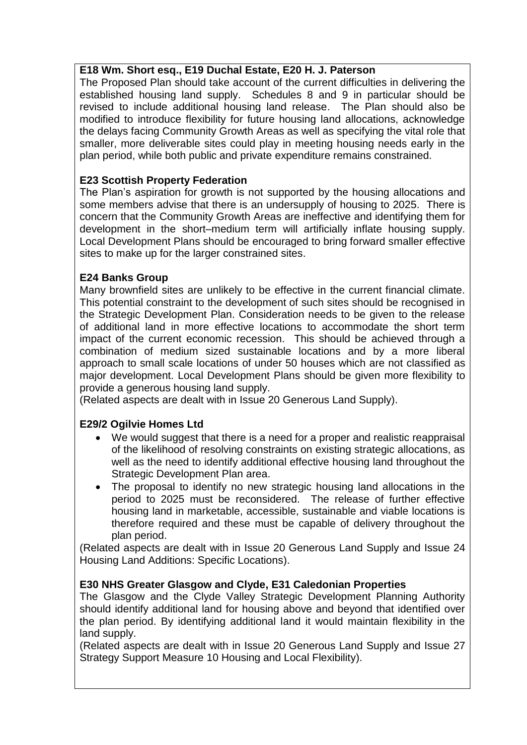# **E18 Wm. Short esq., E19 Duchal Estate, E20 H. J. Paterson**

The Proposed Plan should take account of the current difficulties in delivering the established housing land supply. Schedules 8 and 9 in particular should be revised to include additional housing land release. The Plan should also be modified to introduce flexibility for future housing land allocations, acknowledge the delays facing Community Growth Areas as well as specifying the vital role that smaller, more deliverable sites could play in meeting housing needs early in the plan period, while both public and private expenditure remains constrained.

# **E23 Scottish Property Federation**

The Plan"s aspiration for growth is not supported by the housing allocations and some members advise that there is an undersupply of housing to 2025. There is concern that the Community Growth Areas are ineffective and identifying them for development in the short–medium term will artificially inflate housing supply. Local Development Plans should be encouraged to bring forward smaller effective sites to make up for the larger constrained sites.

# **E24 Banks Group**

Many brownfield sites are unlikely to be effective in the current financial climate. This potential constraint to the development of such sites should be recognised in the Strategic Development Plan. Consideration needs to be given to the release of additional land in more effective locations to accommodate the short term impact of the current economic recession. This should be achieved through a combination of medium sized sustainable locations and by a more liberal approach to small scale locations of under 50 houses which are not classified as major development. Local Development Plans should be given more flexibility to provide a generous housing land supply.

(Related aspects are dealt with in Issue 20 Generous Land Supply).

# **E29/2 Ogilvie Homes Ltd**

- We would suggest that there is a need for a proper and realistic reappraisal of the likelihood of resolving constraints on existing strategic allocations, as well as the need to identify additional effective housing land throughout the Strategic Development Plan area.
- The proposal to identify no new strategic housing land allocations in the period to 2025 must be reconsidered. The release of further effective housing land in marketable, accessible, sustainable and viable locations is therefore required and these must be capable of delivery throughout the plan period.

(Related aspects are dealt with in Issue 20 Generous Land Supply and Issue 24 Housing Land Additions: Specific Locations).

# **E30 NHS Greater Glasgow and Clyde, E31 Caledonian Properties**

The Glasgow and the Clyde Valley Strategic Development Planning Authority should identify additional land for housing above and beyond that identified over the plan period. By identifying additional land it would maintain flexibility in the land supply.

(Related aspects are dealt with in Issue 20 Generous Land Supply and Issue 27 Strategy Support Measure 10 Housing and Local Flexibility).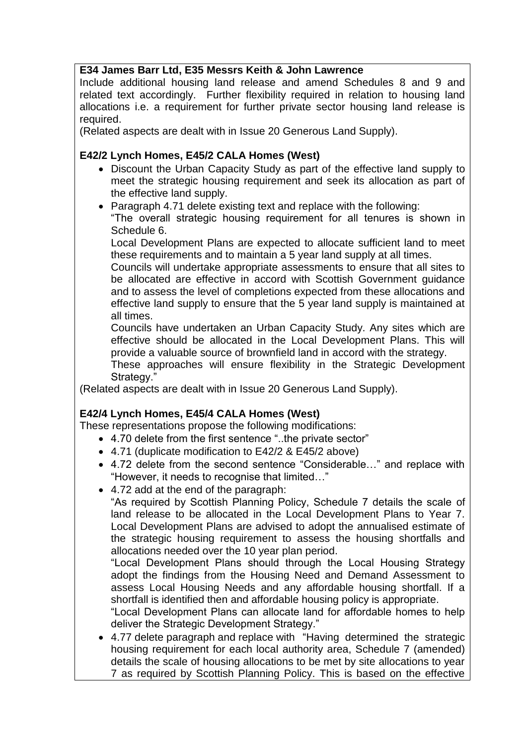# **E34 James Barr Ltd, E35 Messrs Keith & John Lawrence**

Include additional housing land release and amend Schedules 8 and 9 and related text accordingly. Further flexibility required in relation to housing land allocations i.e. a requirement for further private sector housing land release is required.

(Related aspects are dealt with in Issue 20 Generous Land Supply).

# **E42/2 Lynch Homes, E45/2 CALA Homes (West)**

- Discount the Urban Capacity Study as part of the effective land supply to meet the strategic housing requirement and seek its allocation as part of the effective land supply.
- Paragraph 4.71 delete existing text and replace with the following:

"The overall strategic housing requirement for all tenures is shown in Schedule 6.

Local Development Plans are expected to allocate sufficient land to meet these requirements and to maintain a 5 year land supply at all times.

Councils will undertake appropriate assessments to ensure that all sites to be allocated are effective in accord with Scottish Government guidance and to assess the level of completions expected from these allocations and effective land supply to ensure that the 5 year land supply is maintained at all times.

Councils have undertaken an Urban Capacity Study. Any sites which are effective should be allocated in the Local Development Plans. This will provide a valuable source of brownfield land in accord with the strategy.

These approaches will ensure flexibility in the Strategic Development Strategy."

(Related aspects are dealt with in Issue 20 Generous Land Supply).

# **E42/4 Lynch Homes, E45/4 CALA Homes (West)**

These representations propose the following modifications:

- 4.70 delete from the first sentence "..the private sector"
- 4.71 (duplicate modification to E42/2 & E45/2 above)
- 4.72 delete from the second sentence "Considerable…" and replace with "However, it needs to recognise that limited…"
- 4.72 add at the end of the paragraph:

"As required by Scottish Planning Policy, Schedule 7 details the scale of land release to be allocated in the Local Development Plans to Year 7. Local Development Plans are advised to adopt the annualised estimate of the strategic housing requirement to assess the housing shortfalls and allocations needed over the 10 year plan period.

"Local Development Plans should through the Local Housing Strategy adopt the findings from the Housing Need and Demand Assessment to assess Local Housing Needs and any affordable housing shortfall. If a shortfall is identified then and affordable housing policy is appropriate.

"Local Development Plans can allocate land for affordable homes to help deliver the Strategic Development Strategy."

 4.77 delete paragraph and replace with "Having determined the strategic housing requirement for each local authority area, Schedule 7 (amended) details the scale of housing allocations to be met by site allocations to year 7 as required by Scottish Planning Policy. This is based on the effective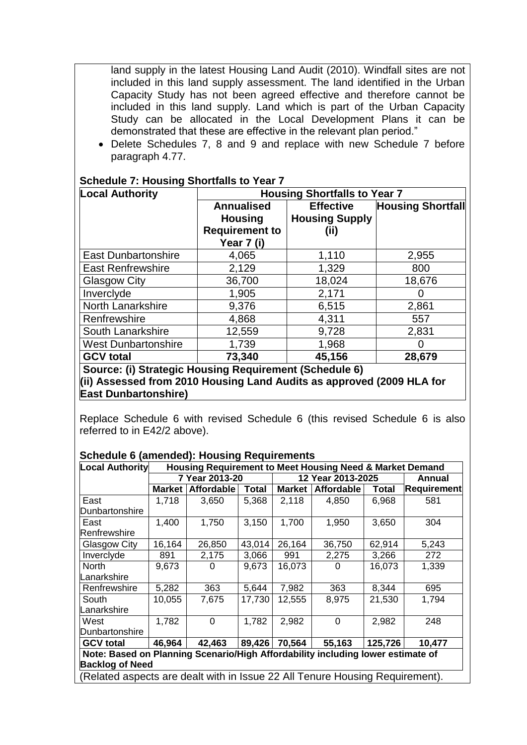land supply in the latest Housing Land Audit (2010). Windfall sites are not included in this land supply assessment. The land identified in the Urban Capacity Study has not been agreed effective and therefore cannot be included in this land supply. Land which is part of the Urban Capacity Study can be allocated in the Local Development Plans it can be demonstrated that these are effective in the relevant plan period."

 Delete Schedules 7, 8 and 9 and replace with new Schedule 7 before paragraph 4.77.

| <b>Local Authority</b>     | <b>Housing Shortfalls to Year 7</b>                                        |                                                   |                          |  |  |  |
|----------------------------|----------------------------------------------------------------------------|---------------------------------------------------|--------------------------|--|--|--|
|                            | <b>Annualised</b><br><b>Housing</b><br><b>Requirement to</b><br>Year 7 (i) | <b>Effective</b><br><b>Housing Supply</b><br>(ii) | <b>Housing Shortfall</b> |  |  |  |
| <b>East Dunbartonshire</b> | 4,065                                                                      | 1,110                                             | 2,955                    |  |  |  |
| <b>East Renfrewshire</b>   | 2,129                                                                      | 1,329                                             | 800                      |  |  |  |
| Glasgow City               | 36,700                                                                     | 18,024                                            | 18,676                   |  |  |  |
| Inverclyde                 | 1,905                                                                      | 2,171                                             |                          |  |  |  |
| North Lanarkshire          | 9,376                                                                      | 6,515                                             | 2,861                    |  |  |  |
| Renfrewshire               | 4,868                                                                      | 4,311                                             | 557                      |  |  |  |
| South Lanarkshire          | 12,559                                                                     | 9,728                                             | 2,831                    |  |  |  |
| <b>West Dunbartonshire</b> | 1,739                                                                      | 1,968                                             |                          |  |  |  |
| <b>GCV total</b>           | 73,340                                                                     | 45,156                                            | 28,679                   |  |  |  |

#### **Schedule 7: Housing Shortfalls to Year 7**

**Source: (i) Strategic Housing Requirement (Schedule 6) (ii) Assessed from 2010 Housing Land Audits as approved (2009 HLA for East Dunbartonshire)** 

Replace Schedule 6 with revised Schedule 6 (this revised Schedule 6 is also referred to in E42/2 above).

| <b>Local Authority</b>                                                          | Housing Requirement to Meet Housing Need & Market Demand |                   |              |                   |             |              |                    |  |
|---------------------------------------------------------------------------------|----------------------------------------------------------|-------------------|--------------|-------------------|-------------|--------------|--------------------|--|
|                                                                                 | 7 Year 2013-20                                           |                   |              | 12 Year 2013-2025 |             |              | Annual             |  |
|                                                                                 | <b>Market</b>                                            | <b>Affordable</b> | <b>Total</b> | <b>Market</b>     | Affordable  | <b>Total</b> | <b>Requirement</b> |  |
| East                                                                            | 1,718                                                    | 3,650             | 5,368        | 2,118             | 4,850       | 6,968        | 581                |  |
| Dunbartonshire                                                                  |                                                          |                   |              |                   |             |              |                    |  |
| East                                                                            | 1,400                                                    | 1,750             | 3,150        | 1,700             | 1,950       | 3,650        | 304                |  |
| Renfrewshire                                                                    |                                                          |                   |              |                   |             |              |                    |  |
| Glasgow City                                                                    | 16,164                                                   | 26,850            | 43,014       | 26,164            | 36,750      | 62,914       | 5,243              |  |
| Inverclyde                                                                      | 891                                                      | 2,175             | 3,066        | 991               | 2,275       | 3,266        | 272                |  |
| <b>North</b>                                                                    | 9,673                                                    | 0                 | 9,673        | 16,073            | 0           | 16,073       | 1,339              |  |
| Lanarkshire                                                                     |                                                          |                   |              |                   |             |              |                    |  |
| Renfrewshire                                                                    | 5,282                                                    | 363               | 5,644        | 7,982             | 363         | 8,344        | 695                |  |
| South                                                                           | 10,055                                                   | 7,675             | 17,730       | 12,555            | 8,975       | 21,530       | 1,794              |  |
| Lanarkshire                                                                     |                                                          |                   |              |                   |             |              |                    |  |
| West                                                                            | 1,782                                                    | $\overline{0}$    | 1,782        | 2,982             | $\mathbf 0$ | 2,982        | 248                |  |
| Dunbartonshire                                                                  |                                                          |                   |              |                   |             |              |                    |  |
| <b>GCV total</b>                                                                | 46,964                                                   | 42,463            | 89,426       | 70,564            | 55,163      | 125,726      | 10,477             |  |
| Note: Based on Planning Scenario/High Affordability including lower estimate of |                                                          |                   |              |                   |             |              |                    |  |
| <b>Backlog of Need</b>                                                          |                                                          |                   |              |                   |             |              |                    |  |
| (Related aspects are dealt with in Issue 22 All Tenure Housing Requirement).    |                                                          |                   |              |                   |             |              |                    |  |

#### **Schedule 6 (amended): Housing Requirements**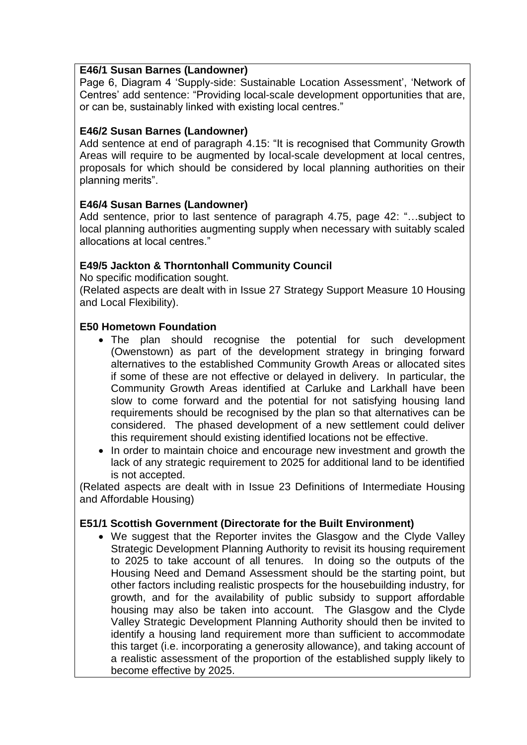### **E46/1 Susan Barnes (Landowner)**

Page 6, Diagram 4 'Supply-side: Sustainable Location Assessment', 'Network of Centres" add sentence: "Providing local-scale development opportunities that are, or can be, sustainably linked with existing local centres."

# **E46/2 Susan Barnes (Landowner)**

Add sentence at end of paragraph 4.15: "It is recognised that Community Growth Areas will require to be augmented by local-scale development at local centres, proposals for which should be considered by local planning authorities on their planning merits".

# **E46/4 Susan Barnes (Landowner)**

Add sentence, prior to last sentence of paragraph 4.75, page 42: "…subject to local planning authorities augmenting supply when necessary with suitably scaled allocations at local centres."

# **E49/5 Jackton & Thorntonhall Community Council**

No specific modification sought.

(Related aspects are dealt with in Issue 27 Strategy Support Measure 10 Housing and Local Flexibility).

# **E50 Hometown Foundation**

- The plan should recognise the potential for such development (Owenstown) as part of the development strategy in bringing forward alternatives to the established Community Growth Areas or allocated sites if some of these are not effective or delayed in delivery. In particular, the Community Growth Areas identified at Carluke and Larkhall have been slow to come forward and the potential for not satisfying housing land requirements should be recognised by the plan so that alternatives can be considered. The phased development of a new settlement could deliver this requirement should existing identified locations not be effective.
- In order to maintain choice and encourage new investment and growth the lack of any strategic requirement to 2025 for additional land to be identified is not accepted.

(Related aspects are dealt with in Issue 23 Definitions of Intermediate Housing and Affordable Housing)

# **E51/1 Scottish Government (Directorate for the Built Environment)**

 We suggest that the Reporter invites the Glasgow and the Clyde Valley Strategic Development Planning Authority to revisit its housing requirement to 2025 to take account of all tenures. In doing so the outputs of the Housing Need and Demand Assessment should be the starting point, but other factors including realistic prospects for the housebuilding industry, for growth, and for the availability of public subsidy to support affordable housing may also be taken into account. The Glasgow and the Clyde Valley Strategic Development Planning Authority should then be invited to identify a housing land requirement more than sufficient to accommodate this target (i.e. incorporating a generosity allowance), and taking account of a realistic assessment of the proportion of the established supply likely to become effective by 2025.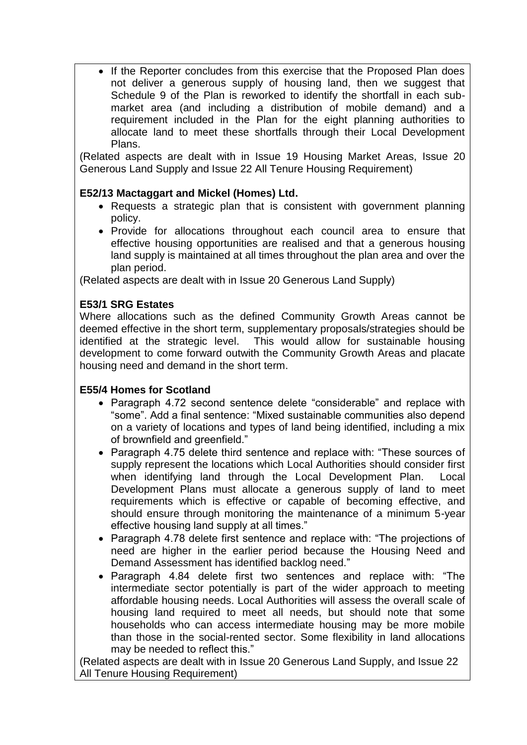• If the Reporter concludes from this exercise that the Proposed Plan does not deliver a generous supply of housing land, then we suggest that Schedule 9 of the Plan is reworked to identify the shortfall in each submarket area (and including a distribution of mobile demand) and a requirement included in the Plan for the eight planning authorities to allocate land to meet these shortfalls through their Local Development Plans.

(Related aspects are dealt with in Issue 19 Housing Market Areas, Issue 20 Generous Land Supply and Issue 22 All Tenure Housing Requirement)

# **E52/13 Mactaggart and Mickel (Homes) Ltd.**

- Requests a strategic plan that is consistent with government planning policy.
- Provide for allocations throughout each council area to ensure that effective housing opportunities are realised and that a generous housing land supply is maintained at all times throughout the plan area and over the plan period.

(Related aspects are dealt with in Issue 20 Generous Land Supply)

# **E53/1 SRG Estates**

Where allocations such as the defined Community Growth Areas cannot be deemed effective in the short term, supplementary proposals/strategies should be identified at the strategic level. This would allow for sustainable housing development to come forward outwith the Community Growth Areas and placate housing need and demand in the short term.

# **E55/4 Homes for Scotland**

- Paragraph 4.72 second sentence delete "considerable" and replace with "some". Add a final sentence: "Mixed sustainable communities also depend on a variety of locations and types of land being identified, including a mix of brownfield and greenfield."
- Paragraph 4.75 delete third sentence and replace with: "These sources of supply represent the locations which Local Authorities should consider first when identifying land through the Local Development Plan. Local Development Plans must allocate a generous supply of land to meet requirements which is effective or capable of becoming effective, and should ensure through monitoring the maintenance of a minimum 5-year effective housing land supply at all times."
- Paragraph 4.78 delete first sentence and replace with: "The projections of need are higher in the earlier period because the Housing Need and Demand Assessment has identified backlog need."
- Paragraph 4.84 delete first two sentences and replace with: "The intermediate sector potentially is part of the wider approach to meeting affordable housing needs. Local Authorities will assess the overall scale of housing land required to meet all needs, but should note that some households who can access intermediate housing may be more mobile than those in the social-rented sector. Some flexibility in land allocations may be needed to reflect this."

(Related aspects are dealt with in Issue 20 Generous Land Supply, and Issue 22 All Tenure Housing Requirement)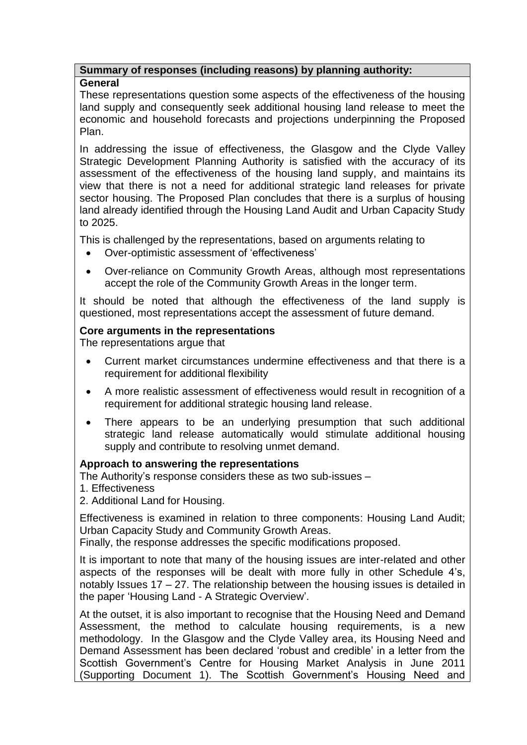# **Summary of responses (including reasons) by planning authority:**

#### **General**

These representations question some aspects of the effectiveness of the housing land supply and consequently seek additional housing land release to meet the economic and household forecasts and projections underpinning the Proposed Plan.

In addressing the issue of effectiveness, the Glasgow and the Clyde Valley Strategic Development Planning Authority is satisfied with the accuracy of its assessment of the effectiveness of the housing land supply, and maintains its view that there is not a need for additional strategic land releases for private sector housing. The Proposed Plan concludes that there is a surplus of housing land already identified through the Housing Land Audit and Urban Capacity Study to 2025.

This is challenged by the representations, based on arguments relating to

- Over-optimistic assessment of "effectiveness"
- Over-reliance on Community Growth Areas, although most representations accept the role of the Community Growth Areas in the longer term.

It should be noted that although the effectiveness of the land supply is questioned, most representations accept the assessment of future demand.

# **Core arguments in the representations**

The representations argue that

- Current market circumstances undermine effectiveness and that there is a requirement for additional flexibility
- A more realistic assessment of effectiveness would result in recognition of a requirement for additional strategic housing land release.
- There appears to be an underlying presumption that such additional strategic land release automatically would stimulate additional housing supply and contribute to resolving unmet demand.

# **Approach to answering the representations**

The Authority"s response considers these as two sub-issues –

- 1. Effectiveness
- 2. Additional Land for Housing.

Effectiveness is examined in relation to three components: Housing Land Audit; Urban Capacity Study and Community Growth Areas.

Finally, the response addresses the specific modifications proposed.

It is important to note that many of the housing issues are inter-related and other aspects of the responses will be dealt with more fully in other Schedule 4"s, notably Issues 17 – 27. The relationship between the housing issues is detailed in the paper "Housing Land - A Strategic Overview".

At the outset, it is also important to recognise that the Housing Need and Demand Assessment, the method to calculate housing requirements, is a new methodology. In the Glasgow and the Clyde Valley area, its Housing Need and Demand Assessment has been declared "robust and credible" in a letter from the Scottish Government's Centre for Housing Market Analysis in June 2011 (Supporting Document 1). The Scottish Government"s Housing Need and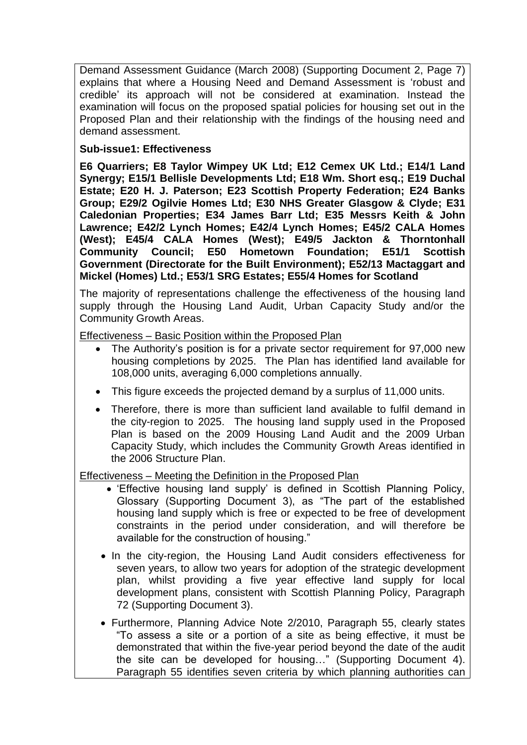Demand Assessment Guidance (March 2008) (Supporting Document 2, Page 7) explains that where a Housing Need and Demand Assessment is "robust and credible" its approach will not be considered at examination. Instead the examination will focus on the proposed spatial policies for housing set out in the Proposed Plan and their relationship with the findings of the housing need and demand assessment.

### **Sub-issue1: Effectiveness**

**E6 Quarriers; E8 Taylor Wimpey UK Ltd; E12 Cemex UK Ltd.; E14/1 Land Synergy; E15/1 Bellisle Developments Ltd; E18 Wm. Short esq.; E19 Duchal Estate; E20 H. J. Paterson; E23 Scottish Property Federation; E24 Banks Group; E29/2 Ogilvie Homes Ltd; E30 NHS Greater Glasgow & Clyde; E31 Caledonian Properties; E34 James Barr Ltd; E35 Messrs Keith & John Lawrence; E42/2 Lynch Homes; E42/4 Lynch Homes; E45/2 CALA Homes (West); E45/4 CALA Homes (West); E49/5 Jackton & Thorntonhall Community Council; E50 Hometown Foundation; E51/1 Scottish Government (Directorate for the Built Environment); E52/13 Mactaggart and Mickel (Homes) Ltd.; E53/1 SRG Estates; E55/4 Homes for Scotland**

The majority of representations challenge the effectiveness of the housing land supply through the Housing Land Audit, Urban Capacity Study and/or the Community Growth Areas.

Effectiveness – Basic Position within the Proposed Plan

- The Authority's position is for a private sector requirement for 97,000 new housing completions by 2025. The Plan has identified land available for 108,000 units, averaging 6,000 completions annually.
- This figure exceeds the projected demand by a surplus of 11,000 units.
- Therefore, there is more than sufficient land available to fulfil demand in the city-region to 2025. The housing land supply used in the Proposed Plan is based on the 2009 Housing Land Audit and the 2009 Urban Capacity Study, which includes the Community Growth Areas identified in the 2006 Structure Plan.

Effectiveness – Meeting the Definition in the Proposed Plan

- 'Effective housing land supply' is defined in Scottish Planning Policy, Glossary (Supporting Document 3), as "The part of the established housing land supply which is free or expected to be free of development constraints in the period under consideration, and will therefore be available for the construction of housing."
- In the city-region, the Housing Land Audit considers effectiveness for seven years, to allow two years for adoption of the strategic development plan, whilst providing a five year effective land supply for local development plans, consistent with Scottish Planning Policy, Paragraph 72 (Supporting Document 3).
- Furthermore, Planning Advice Note 2/2010, Paragraph 55, clearly states "To assess a site or a portion of a site as being effective, it must be demonstrated that within the five-year period beyond the date of the audit the site can be developed for housing…" (Supporting Document 4). Paragraph 55 identifies seven criteria by which planning authorities can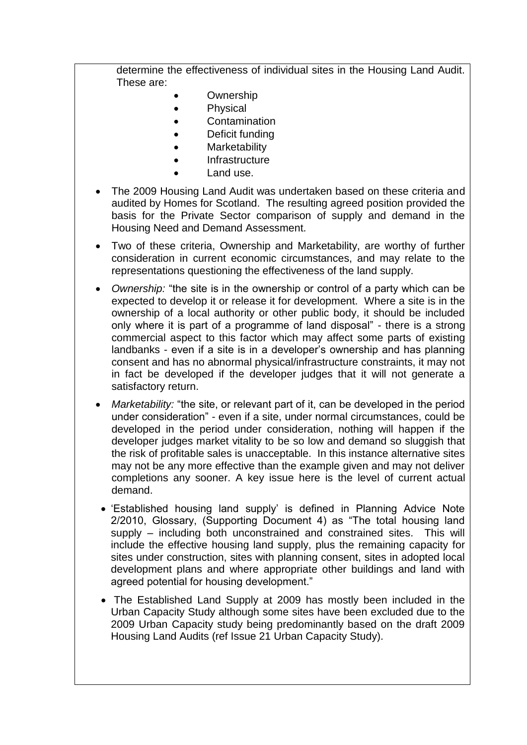determine the effectiveness of individual sites in the Housing Land Audit. These are:

- **Ownership**
- Physical
- **Contamination**
- Deficit funding
- **Marketability**
- Infrastructure
- Land use.
- The 2009 Housing Land Audit was undertaken based on these criteria and audited by Homes for Scotland. The resulting agreed position provided the basis for the Private Sector comparison of supply and demand in the Housing Need and Demand Assessment.
- Two of these criteria, Ownership and Marketability, are worthy of further consideration in current economic circumstances, and may relate to the representations questioning the effectiveness of the land supply.
- *Ownership:* "the site is in the ownership or control of a party which can be expected to develop it or release it for development. Where a site is in the ownership of a local authority or other public body, it should be included only where it is part of a programme of land disposal" - there is a strong commercial aspect to this factor which may affect some parts of existing landbanks - even if a site is in a developer's ownership and has planning consent and has no abnormal physical/infrastructure constraints, it may not in fact be developed if the developer judges that it will not generate a satisfactory return.
- *Marketability:* "the site, or relevant part of it, can be developed in the period under consideration" - even if a site, under normal circumstances, could be developed in the period under consideration, nothing will happen if the developer judges market vitality to be so low and demand so sluggish that the risk of profitable sales is unacceptable. In this instance alternative sites may not be any more effective than the example given and may not deliver completions any sooner. A key issue here is the level of current actual demand.
	- 'Established housing land supply' is defined in Planning Advice Note 2/2010, Glossary, (Supporting Document 4) as "The total housing land supply – including both unconstrained and constrained sites. This will include the effective housing land supply, plus the remaining capacity for sites under construction, sites with planning consent, sites in adopted local development plans and where appropriate other buildings and land with agreed potential for housing development."
- The Established Land Supply at 2009 has mostly been included in the Urban Capacity Study although some sites have been excluded due to the 2009 Urban Capacity study being predominantly based on the draft 2009 Housing Land Audits (ref Issue 21 Urban Capacity Study).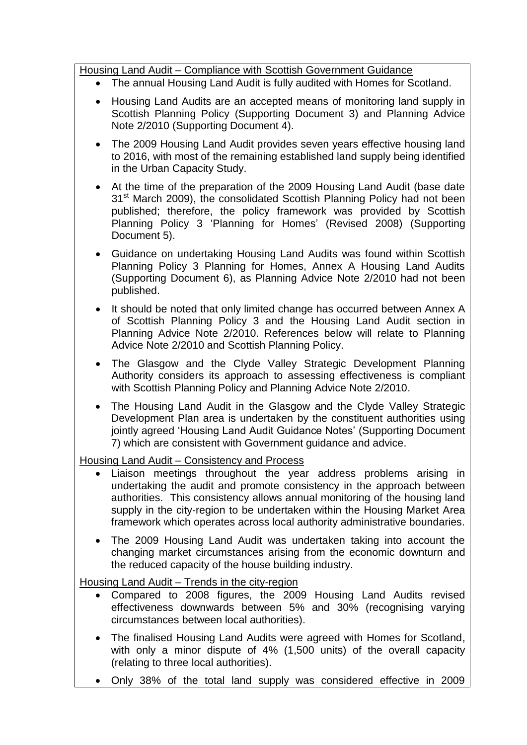- The annual Housing Land Audit is fully audited with Homes for Scotland.
- Housing Land Audits are an accepted means of monitoring land supply in Scottish Planning Policy (Supporting Document 3) and Planning Advice Note 2/2010 (Supporting Document 4).
- The 2009 Housing Land Audit provides seven years effective housing land to 2016, with most of the remaining established land supply being identified in the Urban Capacity Study.
- At the time of the preparation of the 2009 Housing Land Audit (base date 31<sup>st</sup> March 2009), the consolidated Scottish Planning Policy had not been published; therefore, the policy framework was provided by Scottish Planning Policy 3 'Planning for Homes' (Revised 2008) (Supporting Document 5).
- Guidance on undertaking Housing Land Audits was found within Scottish Planning Policy 3 Planning for Homes, Annex A Housing Land Audits (Supporting Document 6), as Planning Advice Note 2/2010 had not been published.
- It should be noted that only limited change has occurred between Annex A of Scottish Planning Policy 3 and the Housing Land Audit section in Planning Advice Note 2/2010. References below will relate to Planning Advice Note 2/2010 and Scottish Planning Policy.
- The Glasgow and the Clyde Valley Strategic Development Planning Authority considers its approach to assessing effectiveness is compliant with Scottish Planning Policy and Planning Advice Note 2/2010.
- The Housing Land Audit in the Glasgow and the Clyde Valley Strategic Development Plan area is undertaken by the constituent authorities using jointly agreed 'Housing Land Audit Guidance Notes' (Supporting Document 7) which are consistent with Government guidance and advice.

Housing Land Audit – Consistency and Process

- Liaison meetings throughout the year address problems arising in undertaking the audit and promote consistency in the approach between authorities. This consistency allows annual monitoring of the housing land supply in the city-region to be undertaken within the Housing Market Area framework which operates across local authority administrative boundaries.
- The 2009 Housing Land Audit was undertaken taking into account the changing market circumstances arising from the economic downturn and the reduced capacity of the house building industry.

# Housing Land Audit – Trends in the city-region

- Compared to 2008 figures, the 2009 Housing Land Audits revised effectiveness downwards between 5% and 30% (recognising varying circumstances between local authorities).
- The finalised Housing Land Audits were agreed with Homes for Scotland, with only a minor dispute of 4% (1,500 units) of the overall capacity (relating to three local authorities).
- Only 38% of the total land supply was considered effective in 2009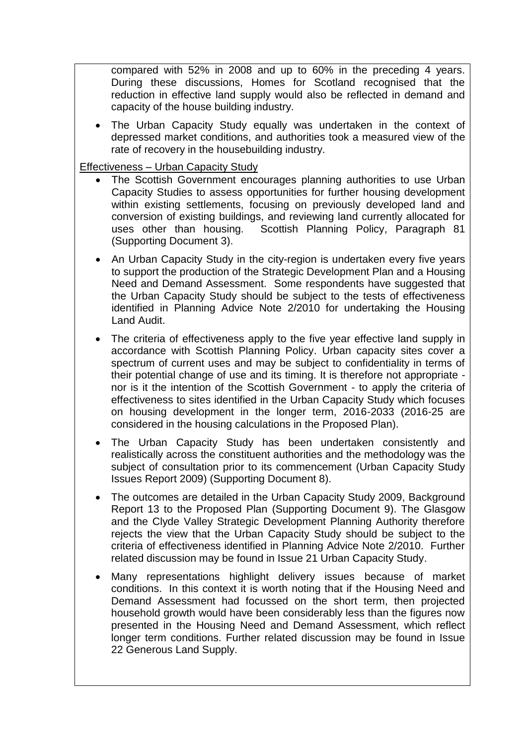compared with 52% in 2008 and up to 60% in the preceding 4 years. During these discussions, Homes for Scotland recognised that the reduction in effective land supply would also be reflected in demand and capacity of the house building industry.

 The Urban Capacity Study equally was undertaken in the context of depressed market conditions, and authorities took a measured view of the rate of recovery in the housebuilding industry.

Effectiveness – Urban Capacity Study

- The Scottish Government encourages planning authorities to use Urban Capacity Studies to assess opportunities for further housing development within existing settlements, focusing on previously developed land and conversion of existing buildings, and reviewing land currently allocated for uses other than housing. Scottish Planning Policy, Paragraph 81 (Supporting Document 3).
- An Urban Capacity Study in the city-region is undertaken every five years to support the production of the Strategic Development Plan and a Housing Need and Demand Assessment. Some respondents have suggested that the Urban Capacity Study should be subject to the tests of effectiveness identified in Planning Advice Note 2/2010 for undertaking the Housing Land Audit.
- The criteria of effectiveness apply to the five year effective land supply in accordance with Scottish Planning Policy. Urban capacity sites cover a spectrum of current uses and may be subject to confidentiality in terms of their potential change of use and its timing. It is therefore not appropriate nor is it the intention of the Scottish Government - to apply the criteria of effectiveness to sites identified in the Urban Capacity Study which focuses on housing development in the longer term, 2016-2033 (2016-25 are considered in the housing calculations in the Proposed Plan).
- The Urban Capacity Study has been undertaken consistently and realistically across the constituent authorities and the methodology was the subject of consultation prior to its commencement (Urban Capacity Study Issues Report 2009) (Supporting Document 8).
- The outcomes are detailed in the Urban Capacity Study 2009, Background Report 13 to the Proposed Plan (Supporting Document 9). The Glasgow and the Clyde Valley Strategic Development Planning Authority therefore rejects the view that the Urban Capacity Study should be subject to the criteria of effectiveness identified in Planning Advice Note 2/2010. Further related discussion may be found in Issue 21 Urban Capacity Study.
- Many representations highlight delivery issues because of market conditions. In this context it is worth noting that if the Housing Need and Demand Assessment had focussed on the short term, then projected household growth would have been considerably less than the figures now presented in the Housing Need and Demand Assessment, which reflect longer term conditions. Further related discussion may be found in Issue 22 Generous Land Supply.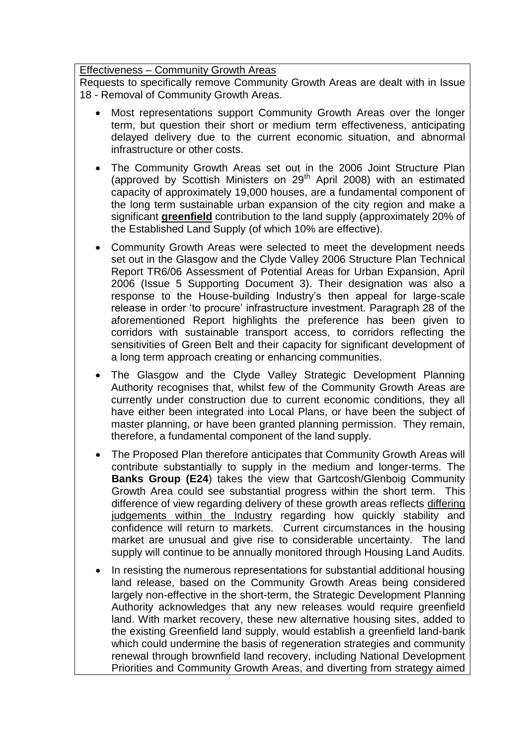### Effectiveness – Community Growth Areas

Requests to specifically remove Community Growth Areas are dealt with in Issue 18 - Removal of Community Growth Areas.

- Most representations support Community Growth Areas over the longer term, but question their short or medium term effectiveness, anticipating delayed delivery due to the current economic situation, and abnormal infrastructure or other costs.
- The Community Growth Areas set out in the 2006 Joint Structure Plan (approved by Scottish Ministers on  $29<sup>th</sup>$  April 2008) with an estimated capacity of approximately 19,000 houses, are a fundamental component of the long term sustainable urban expansion of the city region and make a significant **greenfield** contribution to the land supply (approximately 20% of the Established Land Supply (of which 10% are effective).
- Community Growth Areas were selected to meet the development needs set out in the Glasgow and the Clyde Valley 2006 Structure Plan Technical Report TR6/06 Assessment of Potential Areas for Urban Expansion, April 2006 (Issue 5 Supporting Document 3). Their designation was also a response to the House-building Industry"s then appeal for large-scale release in order 'to procure' infrastructure investment. Paragraph 28 of the aforementioned Report highlights the preference has been given to corridors with sustainable transport access, to corridors reflecting the sensitivities of Green Belt and their capacity for significant development of a long term approach creating or enhancing communities.
- The Glasgow and the Clyde Valley Strategic Development Planning Authority recognises that, whilst few of the Community Growth Areas are currently under construction due to current economic conditions, they all have either been integrated into Local Plans, or have been the subject of master planning, or have been granted planning permission. They remain, therefore, a fundamental component of the land supply.
- The Proposed Plan therefore anticipates that Community Growth Areas will contribute substantially to supply in the medium and longer-terms. The **Banks Group (E24**) takes the view that Gartcosh/Glenboig Community Growth Area could see substantial progress within the short term. This difference of view regarding delivery of these growth areas reflects differing judgements within the Industry regarding how quickly stability and confidence will return to markets. Current circumstances in the housing market are unusual and give rise to considerable uncertainty. The land supply will continue to be annually monitored through Housing Land Audits.
- In resisting the numerous representations for substantial additional housing land release, based on the Community Growth Areas being considered largely non-effective in the short-term, the Strategic Development Planning Authority acknowledges that any new releases would require greenfield land. With market recovery, these new alternative housing sites, added to the existing Greenfield land supply, would establish a greenfield land-bank which could undermine the basis of regeneration strategies and community renewal through brownfield land recovery, including National Development Priorities and Community Growth Areas, and diverting from strategy aimed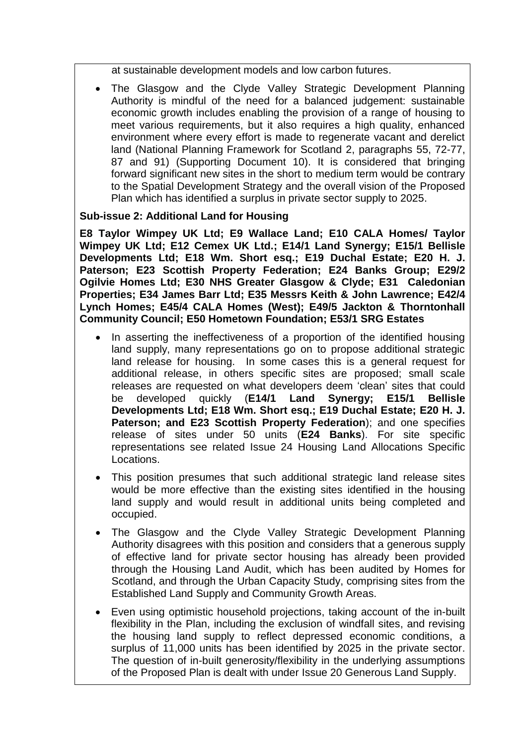at sustainable development models and low carbon futures.

 The Glasgow and the Clyde Valley Strategic Development Planning Authority is mindful of the need for a balanced judgement: sustainable economic growth includes enabling the provision of a range of housing to meet various requirements, but it also requires a high quality, enhanced environment where every effort is made to regenerate vacant and derelict land (National Planning Framework for Scotland 2, paragraphs 55, 72-77, 87 and 91) (Supporting Document 10). It is considered that bringing forward significant new sites in the short to medium term would be contrary to the Spatial Development Strategy and the overall vision of the Proposed Plan which has identified a surplus in private sector supply to 2025.

### **Sub-issue 2: Additional Land for Housing**

**E8 Taylor Wimpey UK Ltd; E9 Wallace Land; E10 CALA Homes/ Taylor Wimpey UK Ltd; E12 Cemex UK Ltd.; E14/1 Land Synergy; E15/1 Bellisle Developments Ltd; E18 Wm. Short esq.; E19 Duchal Estate; E20 H. J. Paterson; E23 Scottish Property Federation; E24 Banks Group; E29/2 Ogilvie Homes Ltd; E30 NHS Greater Glasgow & Clyde; E31 Caledonian Properties; E34 James Barr Ltd; E35 Messrs Keith & John Lawrence; E42/4 Lynch Homes; E45/4 CALA Homes (West); E49/5 Jackton & Thorntonhall Community Council; E50 Hometown Foundation; E53/1 SRG Estates**

- In asserting the ineffectiveness of a proportion of the identified housing land supply, many representations go on to propose additional strategic land release for housing. In some cases this is a general request for additional release, in others specific sites are proposed; small scale releases are requested on what developers deem "clean" sites that could be developed quickly (**E14/1 Land Synergy; E15/1 Bellisle Developments Ltd; E18 Wm. Short esq.; E19 Duchal Estate; E20 H. J. Paterson; and E23 Scottish Property Federation**); and one specifies release of sites under 50 units (**E24 Banks**). For site specific representations see related Issue 24 Housing Land Allocations Specific Locations.
- This position presumes that such additional strategic land release sites would be more effective than the existing sites identified in the housing land supply and would result in additional units being completed and occupied.
- The Glasgow and the Clyde Valley Strategic Development Planning Authority disagrees with this position and considers that a generous supply of effective land for private sector housing has already been provided through the Housing Land Audit, which has been audited by Homes for Scotland, and through the Urban Capacity Study, comprising sites from the Established Land Supply and Community Growth Areas.
- Even using optimistic household projections, taking account of the in-built flexibility in the Plan, including the exclusion of windfall sites, and revising the housing land supply to reflect depressed economic conditions, a surplus of 11,000 units has been identified by 2025 in the private sector. The question of in-built generosity/flexibility in the underlying assumptions of the Proposed Plan is dealt with under Issue 20 Generous Land Supply.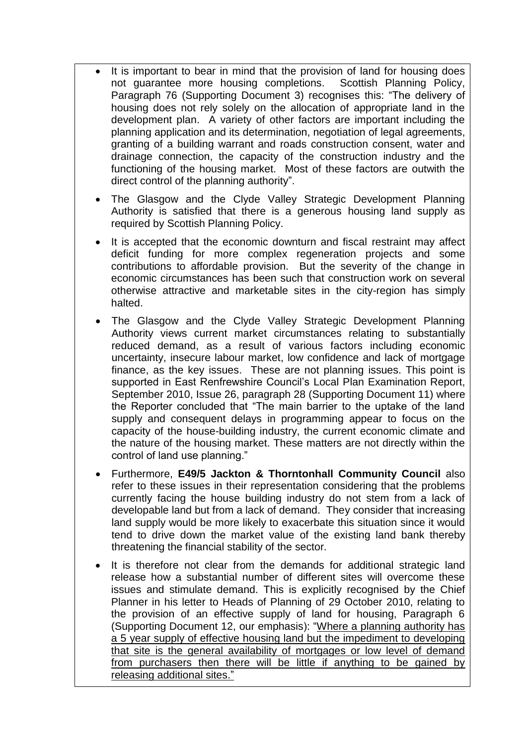- It is important to bear in mind that the provision of land for housing does not guarantee more housing completions. Scottish Planning Policy, Paragraph 76 (Supporting Document 3) recognises this: "The delivery of housing does not rely solely on the allocation of appropriate land in the development plan. A variety of other factors are important including the planning application and its determination, negotiation of legal agreements, granting of a building warrant and roads construction consent, water and drainage connection, the capacity of the construction industry and the functioning of the housing market. Most of these factors are outwith the direct control of the planning authority".
- The Glasgow and the Clyde Valley Strategic Development Planning Authority is satisfied that there is a generous housing land supply as required by Scottish Planning Policy.
- It is accepted that the economic downturn and fiscal restraint may affect deficit funding for more complex regeneration projects and some contributions to affordable provision. But the severity of the change in economic circumstances has been such that construction work on several otherwise attractive and marketable sites in the city-region has simply halted.
- The Glasgow and the Clyde Valley Strategic Development Planning Authority views current market circumstances relating to substantially reduced demand, as a result of various factors including economic uncertainty, insecure labour market, low confidence and lack of mortgage finance, as the key issues. These are not planning issues. This point is supported in East Renfrewshire Council's Local Plan Examination Report, September 2010, Issue 26, paragraph 28 (Supporting Document 11) where the Reporter concluded that "The main barrier to the uptake of the land supply and consequent delays in programming appear to focus on the capacity of the house-building industry, the current economic climate and the nature of the housing market. These matters are not directly within the control of land use planning."
- Furthermore, **E49/5 Jackton & Thorntonhall Community Council** also refer to these issues in their representation considering that the problems currently facing the house building industry do not stem from a lack of developable land but from a lack of demand. They consider that increasing land supply would be more likely to exacerbate this situation since it would tend to drive down the market value of the existing land bank thereby threatening the financial stability of the sector.
- It is therefore not clear from the demands for additional strategic land release how a substantial number of different sites will overcome these issues and stimulate demand. This is explicitly recognised by the Chief Planner in his letter to Heads of Planning of 29 October 2010, relating to the provision of an effective supply of land for housing, Paragraph 6 (Supporting Document 12, our emphasis): "Where a planning authority has a 5 year supply of effective housing land but the impediment to developing that site is the general availability of mortgages or low level of demand from purchasers then there will be little if anything to be gained by releasing additional sites."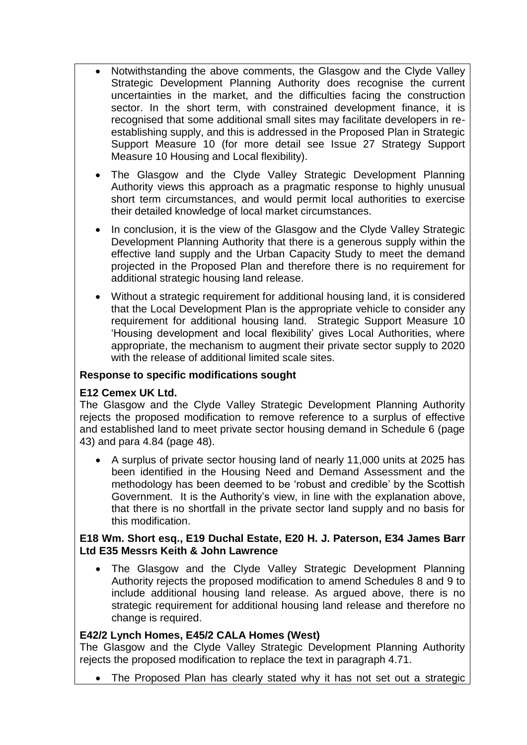- Notwithstanding the above comments, the Glasgow and the Clyde Valley Strategic Development Planning Authority does recognise the current uncertainties in the market, and the difficulties facing the construction sector. In the short term, with constrained development finance, it is recognised that some additional small sites may facilitate developers in reestablishing supply, and this is addressed in the Proposed Plan in Strategic Support Measure 10 (for more detail see Issue 27 Strategy Support Measure 10 Housing and Local flexibility).
- The Glasgow and the Clyde Valley Strategic Development Planning Authority views this approach as a pragmatic response to highly unusual short term circumstances, and would permit local authorities to exercise their detailed knowledge of local market circumstances.
- In conclusion, it is the view of the Glasgow and the Clyde Valley Strategic Development Planning Authority that there is a generous supply within the effective land supply and the Urban Capacity Study to meet the demand projected in the Proposed Plan and therefore there is no requirement for additional strategic housing land release.
- Without a strategic requirement for additional housing land, it is considered that the Local Development Plan is the appropriate vehicle to consider any requirement for additional housing land. Strategic Support Measure 10 "Housing development and local flexibility" gives Local Authorities, where appropriate, the mechanism to augment their private sector supply to 2020 with the release of additional limited scale sites.

### **Response to specific modifications sought**

### **E12 Cemex UK Ltd.**

The Glasgow and the Clyde Valley Strategic Development Planning Authority rejects the proposed modification to remove reference to a surplus of effective and established land to meet private sector housing demand in Schedule 6 (page 43) and para 4.84 (page 48).

 A surplus of private sector housing land of nearly 11,000 units at 2025 has been identified in the Housing Need and Demand Assessment and the methodology has been deemed to be "robust and credible" by the Scottish Government. It is the Authority"s view, in line with the explanation above, that there is no shortfall in the private sector land supply and no basis for this modification.

### **E18 Wm. Short esq., E19 Duchal Estate, E20 H. J. Paterson, E34 James Barr Ltd E35 Messrs Keith & John Lawrence**

 The Glasgow and the Clyde Valley Strategic Development Planning Authority rejects the proposed modification to amend Schedules 8 and 9 to include additional housing land release. As argued above, there is no strategic requirement for additional housing land release and therefore no change is required.

### **E42/2 Lynch Homes, E45/2 CALA Homes (West)**

The Glasgow and the Clyde Valley Strategic Development Planning Authority rejects the proposed modification to replace the text in paragraph 4.71.

• The Proposed Plan has clearly stated why it has not set out a strategic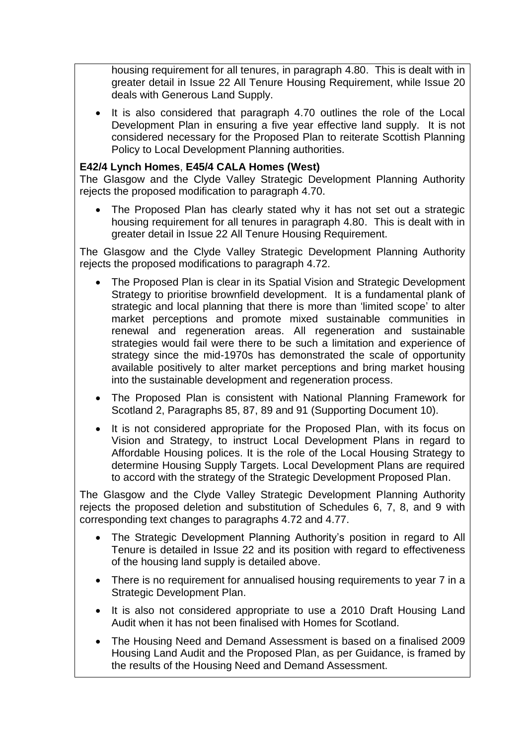housing requirement for all tenures, in paragraph 4.80. This is dealt with in greater detail in Issue 22 All Tenure Housing Requirement, while Issue 20 deals with Generous Land Supply.

 It is also considered that paragraph 4.70 outlines the role of the Local Development Plan in ensuring a five year effective land supply. It is not considered necessary for the Proposed Plan to reiterate Scottish Planning Policy to Local Development Planning authorities.

### **E42/4 Lynch Homes**, **E45/4 CALA Homes (West)**

The Glasgow and the Clyde Valley Strategic Development Planning Authority rejects the proposed modification to paragraph 4.70.

 The Proposed Plan has clearly stated why it has not set out a strategic housing requirement for all tenures in paragraph 4.80. This is dealt with in greater detail in Issue 22 All Tenure Housing Requirement.

The Glasgow and the Clyde Valley Strategic Development Planning Authority rejects the proposed modifications to paragraph 4.72.

- The Proposed Plan is clear in its Spatial Vision and Strategic Development Strategy to prioritise brownfield development. It is a fundamental plank of strategic and local planning that there is more than "limited scope" to alter market perceptions and promote mixed sustainable communities in renewal and regeneration areas. All regeneration and sustainable strategies would fail were there to be such a limitation and experience of strategy since the mid-1970s has demonstrated the scale of opportunity available positively to alter market perceptions and bring market housing into the sustainable development and regeneration process.
- The Proposed Plan is consistent with National Planning Framework for Scotland 2, Paragraphs 85, 87, 89 and 91 (Supporting Document 10).
- It is not considered appropriate for the Proposed Plan, with its focus on Vision and Strategy, to instruct Local Development Plans in regard to Affordable Housing polices. It is the role of the Local Housing Strategy to determine Housing Supply Targets. Local Development Plans are required to accord with the strategy of the Strategic Development Proposed Plan.

The Glasgow and the Clyde Valley Strategic Development Planning Authority rejects the proposed deletion and substitution of Schedules 6, 7, 8, and 9 with corresponding text changes to paragraphs 4.72 and 4.77.

- The Strategic Development Planning Authority"s position in regard to All Tenure is detailed in Issue 22 and its position with regard to effectiveness of the housing land supply is detailed above.
- There is no requirement for annualised housing requirements to year 7 in a Strategic Development Plan.
- It is also not considered appropriate to use a 2010 Draft Housing Land Audit when it has not been finalised with Homes for Scotland.
- The Housing Need and Demand Assessment is based on a finalised 2009 Housing Land Audit and the Proposed Plan, as per Guidance, is framed by the results of the Housing Need and Demand Assessment.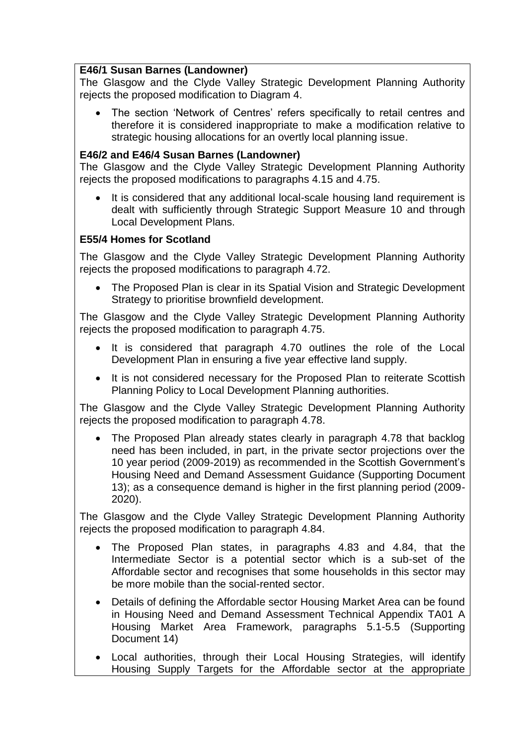### **E46/1 Susan Barnes (Landowner)**

The Glasgow and the Clyde Valley Strategic Development Planning Authority rejects the proposed modification to Diagram 4.

The section 'Network of Centres' refers specifically to retail centres and therefore it is considered inappropriate to make a modification relative to strategic housing allocations for an overtly local planning issue.

### **E46/2 and E46/4 Susan Barnes (Landowner)**

The Glasgow and the Clyde Valley Strategic Development Planning Authority rejects the proposed modifications to paragraphs 4.15 and 4.75.

 It is considered that any additional local-scale housing land requirement is dealt with sufficiently through Strategic Support Measure 10 and through Local Development Plans.

# **E55/4 Homes for Scotland**

The Glasgow and the Clyde Valley Strategic Development Planning Authority rejects the proposed modifications to paragraph 4.72.

• The Proposed Plan is clear in its Spatial Vision and Strategic Development Strategy to prioritise brownfield development.

The Glasgow and the Clyde Valley Strategic Development Planning Authority rejects the proposed modification to paragraph 4.75.

- It is considered that paragraph 4.70 outlines the role of the Local Development Plan in ensuring a five year effective land supply.
- It is not considered necessary for the Proposed Plan to reiterate Scottish Planning Policy to Local Development Planning authorities.

The Glasgow and the Clyde Valley Strategic Development Planning Authority rejects the proposed modification to paragraph 4.78.

• The Proposed Plan already states clearly in paragraph 4.78 that backlog need has been included, in part, in the private sector projections over the 10 year period (2009-2019) as recommended in the Scottish Government"s Housing Need and Demand Assessment Guidance (Supporting Document 13); as a consequence demand is higher in the first planning period (2009- 2020).

The Glasgow and the Clyde Valley Strategic Development Planning Authority rejects the proposed modification to paragraph 4.84.

- The Proposed Plan states, in paragraphs 4.83 and 4.84, that the Intermediate Sector is a potential sector which is a sub-set of the Affordable sector and recognises that some households in this sector may be more mobile than the social-rented sector.
- Details of defining the Affordable sector Housing Market Area can be found in Housing Need and Demand Assessment Technical Appendix TA01 A Housing Market Area Framework, paragraphs 5.1-5.5 (Supporting Document 14)
- Local authorities, through their Local Housing Strategies, will identify Housing Supply Targets for the Affordable sector at the appropriate